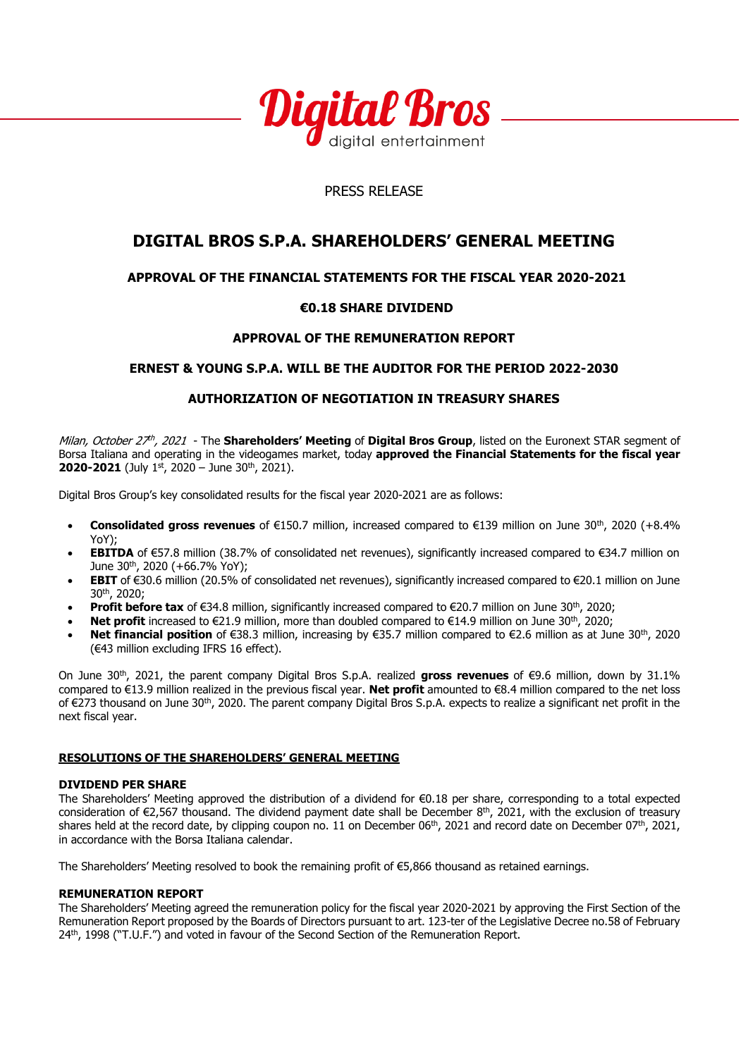

# PRESS RELEASE

# **DIGITAL BROS S.P.A. SHAREHOLDERS' GENERAL MEETING**

# **APPROVAL OF THE FINANCIAL STATEMENTS FOR THE FISCAL YEAR 2020-2021**

# **€0.18 SHARE DIVIDEND**

# **APPROVAL OF THE REMUNERATION REPORT**

### **ERNEST & YOUNG S.P.A. WILL BE THE AUDITOR FOR THE PERIOD 2022-2030**

### **AUTHORIZATION OF NEGOTIATION IN TREASURY SHARES**

Milan, October 27 th , 2021 - The **Shareholders' Meeting** of **Digital Bros Group**, listed on the Euronext STAR segment of Borsa Italiana and operating in the videogames market, today **approved the Financial Statements for the fiscal year 2020-2021** (July 1st, 2020 – June 30<sup>th</sup>, 2021).

Digital Bros Group's key consolidated results for the fiscal year 2020-2021 are as follows:

- **Consolidated gross revenues** of €150.7 million, increased compared to €139 million on June 30th, 2020 (+8.4% YoY);
- **EBITDA** of €57.8 million (38.7% of consolidated net revenues), significantly increased compared to €34.7 million on June  $30^{th}$ , 2020 (+66.7% YoY);
- **EBIT** of €30.6 million (20.5% of consolidated net revenues), significantly increased compared to €20.1 million on June 30th, 2020;
- **Profit before tax** of €34.8 million, significantly increased compared to €20.7 million on June 30<sup>th</sup>, 2020;
- **Net profit** increased to €21.9 million, more than doubled compared to €14.9 million on June 30<sup>th</sup>, 2020;
- **Net financial position** of €38.3 million, increasing by €35.7 million compared to €2.6 million as at June 30th, 2020 (€43 million excluding IFRS 16 effect).

On June 30th, 2021, the parent company Digital Bros S.p.A. realized **gross revenues** of €9.6 million, down by 31.1% compared to €13.9 million realized in the previous fiscal year. **Net profit** amounted to €8.4 million compared to the net loss of €273 thousand on June 30th, 2020. The parent company Digital Bros S.p.A. expects to realize a significant net profit in the next fiscal year.

### **RESOLUTIONS OF THE SHAREHOLDERS' GENERAL MEETING**

#### **DIVIDEND PER SHARE**

The Shareholders' Meeting approved the distribution of a dividend for €0.18 per share, corresponding to a total expected consideration of  $\epsilon$ 2,567 thousand. The dividend payment date shall be December 8<sup>th</sup>, 2021, with the exclusion of treasury shares held at the record date, by clipping coupon no. 11 on December  $06^{th}$ , 2021 and record date on December  $07^{th}$ , 2021, in accordance with the Borsa Italiana calendar.

The Shareholders' Meeting resolved to book the remaining profit of €5,866 thousand as retained earnings.

### **REMUNERATION REPORT**

The Shareholders' Meeting agreed the remuneration policy for the fiscal year 2020-2021 by approving the First Section of the Remuneration Report proposed by the Boards of Directors pursuant to art. 123-ter of the Legislative Decree no.58 of February 24<sup>th</sup>, 1998 ("T.U.F.") and voted in favour of the Second Section of the Remuneration Report.